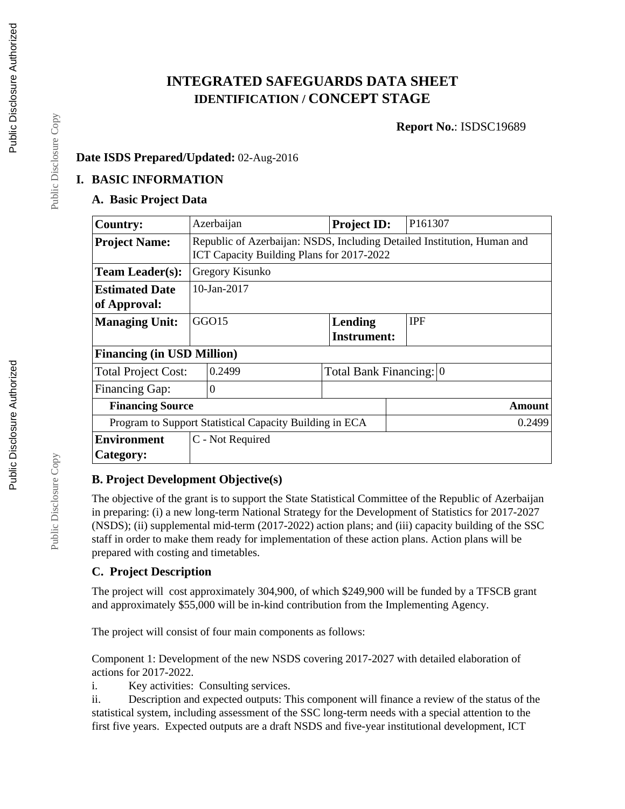# **INTEGRATED SAFEGUARDS DATA SHEET IDENTIFICATION / CONCEPT STAGE**

**Report No.**: ISDSC19689

#### **Date ISDS Prepared/Updated:** 02-Aug-2016

### **I. BASIC INFORMATION**

# **A. Basic Project Data**

| <b>Country:</b>                                         | Azerbaijan                                                                                                           | <b>Project ID:</b>      | P161307    |  |  |  |
|---------------------------------------------------------|----------------------------------------------------------------------------------------------------------------------|-------------------------|------------|--|--|--|
| <b>Project Name:</b>                                    | Republic of Azerbaijan: NSDS, Including Detailed Institution, Human and<br>ICT Capacity Building Plans for 2017-2022 |                         |            |  |  |  |
| <b>Team Leader(s):</b>                                  | Gregory Kisunko                                                                                                      |                         |            |  |  |  |
| <b>Estimated Date</b>                                   | 10-Jan-2017                                                                                                          |                         |            |  |  |  |
| of Approval:                                            |                                                                                                                      |                         |            |  |  |  |
| <b>Managing Unit:</b>                                   | GGO15                                                                                                                | Lending                 | <b>IPF</b> |  |  |  |
|                                                         |                                                                                                                      | <b>Instrument:</b>      |            |  |  |  |
| <b>Financing (in USD Million)</b>                       |                                                                                                                      |                         |            |  |  |  |
| <b>Total Project Cost:</b>                              | 0.2499                                                                                                               | Total Bank Financing: 0 |            |  |  |  |
| <b>Financing Gap:</b>                                   | $\Omega$                                                                                                             |                         |            |  |  |  |
| <b>Financing Source</b><br><b>Amount</b>                |                                                                                                                      |                         |            |  |  |  |
| Program to Support Statistical Capacity Building in ECA |                                                                                                                      |                         | 0.2499     |  |  |  |
| <b>Environment</b>                                      | C - Not Required                                                                                                     |                         |            |  |  |  |
| Category:                                               |                                                                                                                      |                         |            |  |  |  |

# **B. Project Development Objective(s)**

The objective of the grant is to support the State Statistical Committee of the Republic of Azerbaijan in preparing: (i) a new long-term National Strategy for the Development of Statistics for 2017-2027 (NSDS); (ii) supplemental mid-term (2017-2022) action plans; and (iii) capacity building of the SSC staff in order to make them ready for implementation of these action plans. Action plans will be prepared with costing and timetables.

#### **C. Project Description**

The project will cost approximately 304,900, of which \$249,900 will be funded by a TFSCB grant and approximately \$55,000 will be in-kind contribution from the Implementing Agency.

The project will consist of four main components as follows:

Component 1: Development of the new NSDS covering 2017-2027 with detailed elaboration of actions for 2017-2022.

i. Key activities: Consulting services.

ii. Description and expected outputs: This component will finance a review of the status of the statistical system, including assessment of the SSC long-term needs with a special attention to the first five years. Expected outputs are a draft NSDS and five-year institutional development, ICT

Public Disclosure Copy

Public Disclosure Copy

Public Disclosure Copy

Public Disclosure Copy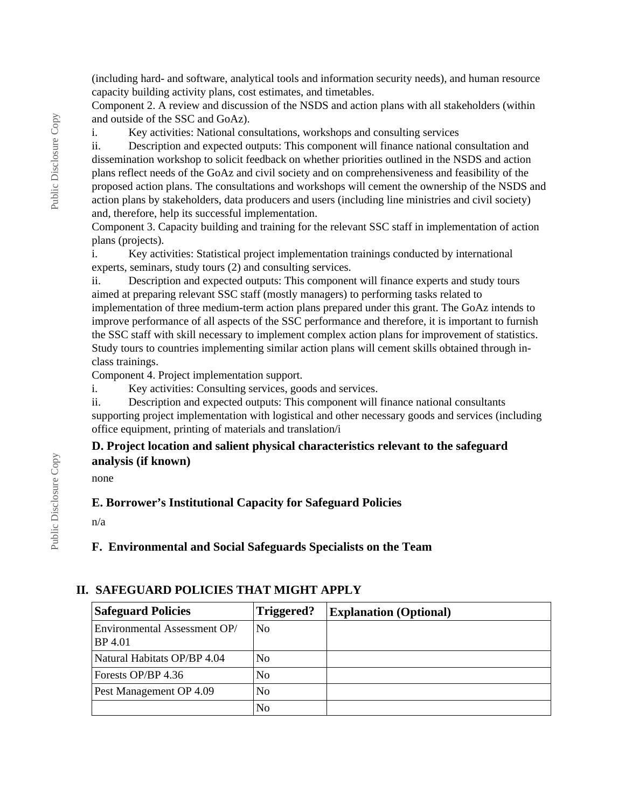(including hard- and software, analytical tools and information security needs), and human resource capacity building activity plans, cost estimates, and timetables.

Component 2. A review and discussion of the NSDS and action plans with all stakeholders (within and outside of the SSC and GoAz).

i. Key activities: National consultations, workshops and consulting services

ii. Description and expected outputs: This component will finance national consultation and dissemination workshop to solicit feedback on whether priorities outlined in the NSDS and action plans reflect needs of the GoAz and civil society and on comprehensiveness and feasibility of the proposed action plans. The consultations and workshops will cement the ownership of the NSDS and action plans by stakeholders, data producers and users (including line ministries and civil society) and, therefore, help its successful implementation.

Component 3. Capacity building and training for the relevant SSC staff in implementation of action plans (projects).

i. Key activities: Statistical project implementation trainings conducted by international experts, seminars, study tours (2) and consulting services.

ii. Description and expected outputs: This component will finance experts and study tours aimed at preparing relevant SSC staff (mostly managers) to performing tasks related to implementation of three medium-term action plans prepared under this grant. The GoAz intends to improve performance of all aspects of the SSC performance and therefore, it is important to furnish the SSC staff with skill necessary to implement complex action plans for improvement of statistics. Study tours to countries implementing similar action plans will cement skills obtained through inclass trainings.

Component 4. Project implementation support.

i. Key activities: Consulting services, goods and services.

ii. Description and expected outputs: This component will finance national consultants supporting project implementation with logistical and other necessary goods and services (including office equipment, printing of materials and translation/i

#### **D. Project location and salient physical characteristics relevant to the safeguard analysis (if known)**

none

#### **E. Borrower's Institutional Capacity for Safeguard Policies**

n/a

**F. Environmental and Social Safeguards Specialists on the Team**

#### **II. SAFEGUARD POLICIES THAT MIGHT APPLY**

| <b>Safeguard Policies</b>               | Triggered?     | <b>Explanation (Optional)</b> |
|-----------------------------------------|----------------|-------------------------------|
| Environmental Assessment OP/<br>BP 4.01 | N <sub>0</sub> |                               |
| Natural Habitats OP/BP 4.04             | N <sub>0</sub> |                               |
| Forests OP/BP 4.36                      | No             |                               |
| Pest Management OP 4.09                 | N <sub>0</sub> |                               |
|                                         | No             |                               |